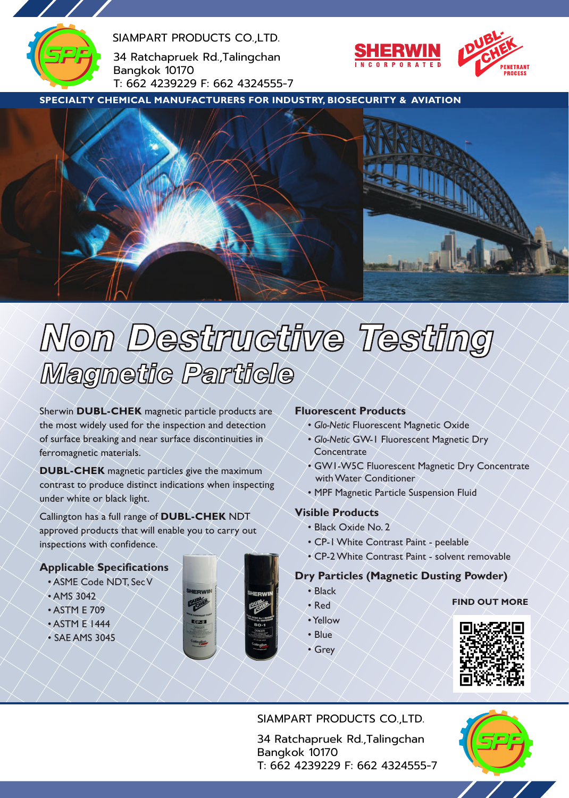

SIAMPART PRODUCTS CO.,LTD.

34 Ratchapruek Rd.,Talingchan Bangkok 10170 T: 662 4239229 F: 662 4324555-7



**SPECIALTY CHEMICAL MANUFACTURERS FOR INDUSTRY, BIOSECURITY & AVIATION**



# Non Destructive Testing **Magnetic Particle**

the most widely used for the inspection and detection<br>
of surface breaking and near surface discontinuities in<br> **Concentrate** Sherwin **DUBL-CHEK** magnetic particle products are the most widely used for the inspection and detection of surface breaking and near surface discontinuities in ferromagnetic materials.

**DUBL-CHEK** magnetic particles give the maximum contrast to produce distinct indications when inspecting under white or black light.

Callington has a full range of **DUBL-CHEK** NDT approved products that will enable you to carry out inspections with confidence.

**IERWIN** 

# **Applicable Specifications**

- ASME Code NDT, Sec V
- AMS 3042
- ASTM E 709
- ASTM E 1444
- SAE AMS 3045



- *Glo-Netic* Fluorescent Magnetic Oxide
- **Concentrate**
- GW1-W5C Fluorescent Magnetic Dry Concentrate with Water Conditioner
- MPF Magnetic Particle Suspension Fluid

# **Visible Products**

- Black Oxide No. 2
- CP-1White Contrast Paint peelable
- CP-2White Contrast Paint solvent removable

# **Dry Particles (Magnetic Dusting Powder)**

• Black • Red

#### **FIND OUT MORE**

- •Yellow
- Blue
- Grey



# SIAMPART PRODUCTS CO.,LTD.

34 Ratchapruek Rd.,Talingchan Bangkok 10170 T: 662 4239229 F: 662 4324555-7